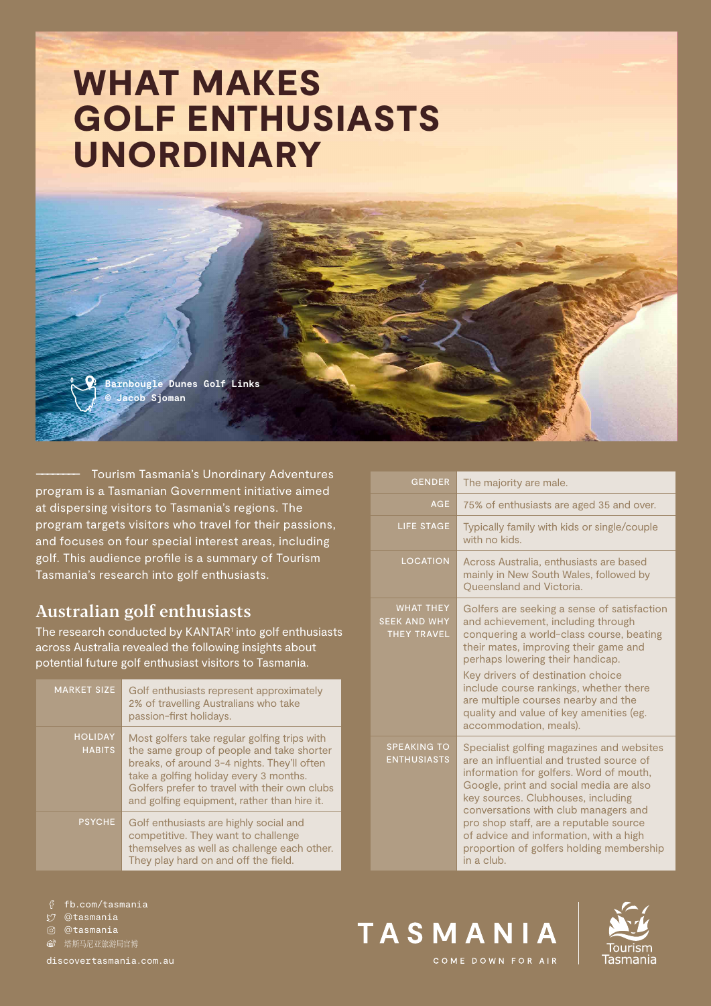# WHAT MAKES GOLF ENTHUSIASTS **UNORDINARY**

**Barnbougle Dunes Golf Links © Jacob Sjoman**

–––––––– Tourism Tasmania's Unordinary Adventures program is a Tasmanian Government initiative aimed at dispersing visitors to Tasmania's regions. The program targets visitors who travel for their passions, and focuses on four special interest areas, including golf. This audience profile is a summary of Tourism Tasmania's research into golf enthusiasts.

## Australian golf enthusiasts

The research conducted by KANTAR<sup>1</sup> into golf enthusiasts across Australia revealed the following insights about potential future golf enthusiast visitors to Tasmania.

| <b>MARKET SIZE</b>              | Golf enthusiasts represent approximately<br>2% of travelling Australians who take<br>passion-first holidays.                                                                                                                                                                       |
|---------------------------------|------------------------------------------------------------------------------------------------------------------------------------------------------------------------------------------------------------------------------------------------------------------------------------|
| <b>HOLIDAY</b><br><b>HABITS</b> | Most golfers take regular golfing trips with<br>the same group of people and take shorter<br>breaks, of around 3-4 nights. They'll often<br>take a golfing holiday every 3 months.<br>Golfers prefer to travel with their own clubs<br>and golfing equipment, rather than hire it. |
| <b>PSYCHE</b>                   | Golf enthusiasts are highly social and<br>competitive. They want to challenge<br>themselves as well as challenge each other.<br>They play hard on and off the field.                                                                                                               |

| <b>GENDER</b>                                                 | The majority are male.                                                                                                                                                                                                                                                                                                                                                                                  |
|---------------------------------------------------------------|---------------------------------------------------------------------------------------------------------------------------------------------------------------------------------------------------------------------------------------------------------------------------------------------------------------------------------------------------------------------------------------------------------|
| <b>AGE</b>                                                    | 75% of enthusiasts are aged 35 and over.                                                                                                                                                                                                                                                                                                                                                                |
| <b>LIFE STAGE</b>                                             | Typically family with kids or single/couple<br>with no kids.                                                                                                                                                                                                                                                                                                                                            |
| <b>LOCATION</b>                                               | Across Australia, enthusiasts are based<br>mainly in New South Wales, followed by<br>Queensland and Victoria.                                                                                                                                                                                                                                                                                           |
| <b>WHAT THEY</b><br><b>SEEK AND WHY</b><br><b>THEY TRAVEL</b> | Golfers are seeking a sense of satisfaction<br>and achievement, including through<br>conquering a world-class course, beating<br>their mates, improving their game and<br>perhaps lowering their handicap.                                                                                                                                                                                              |
|                                                               | Key drivers of destination choice<br>include course rankings, whether there<br>are multiple courses nearby and the<br>quality and value of key amenities (eg.<br>accommodation, meals).                                                                                                                                                                                                                 |
| <b>SPEAKING TO</b><br><b>ENTHUSIASTS</b>                      | Specialist golfing magazines and websites<br>are an influential and trusted source of<br>information for golfers. Word of mouth,<br>Google, print and social media are also<br>key sources. Clubhouses, including<br>conversations with club managers and<br>pro shop staff, are a reputable source<br>of advice and information, with a high<br>proportion of golfers holding membership<br>in a club. |



@tasmania  $\sim$ 

@tasmania രീ

**⑥** 塔斯马尼亚旅游局官博

[discovertasmania.com.au](https://www.discovertasmania.com.au)





COME DOWN FOR AIR